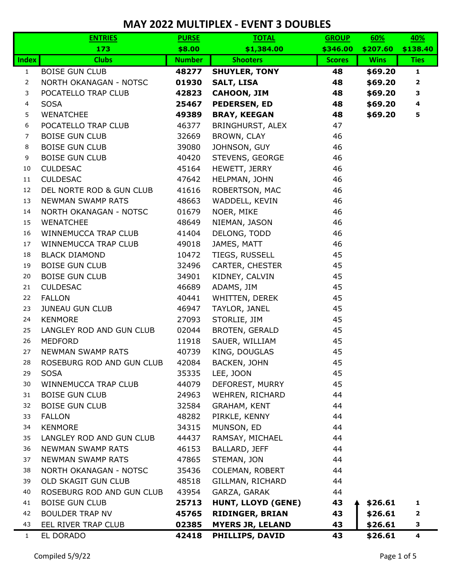|                | <b>ENTRIES</b>            | <b>PURSE</b>  | <b>TOTAL</b>              | <b>GROUP</b>  | 60%         | 40%          |
|----------------|---------------------------|---------------|---------------------------|---------------|-------------|--------------|
|                | 173                       | \$8.00        | \$1,384.00                | \$346.00      | \$207.60    | \$138.40     |
| <b>Index</b>   | <b>Clubs</b>              | <b>Number</b> | <b>Shooters</b>           | <b>Scores</b> | <b>Wins</b> | <b>Ties</b>  |
| $\mathbf{1}$   | <b>BOISE GUN CLUB</b>     | 48277         | <b>SHUYLER, TONY</b>      | 48<br>\$69.20 |             | $\mathbf{1}$ |
| $\overline{2}$ | NORTH OKANAGAN - NOTSC    | 01930         | <b>SALT, LISA</b>         | 48            | \$69.20     |              |
| 3              | POCATELLO TRAP CLUB       | 42823         | <b>CAHOON, JIM</b>        | 48            | \$69.20     | 3            |
| 4              | <b>SOSA</b>               | 25467         | <b>PEDERSEN, ED</b>       | 48            | \$69.20     | 4            |
| 5              | <b>WENATCHEE</b>          | 49389         | <b>BRAY, KEEGAN</b>       | 48            | \$69.20     | 5            |
| 6              | POCATELLO TRAP CLUB       | 46377         | BRINGHURST, ALEX          | 47            |             |              |
| $\overline{7}$ | <b>BOISE GUN CLUB</b>     | 32669         | BROWN, CLAY               | 46            |             |              |
| 8              | <b>BOISE GUN CLUB</b>     | 39080         | JOHNSON, GUY              | 46            |             |              |
| 9              | <b>BOISE GUN CLUB</b>     | 40420         | STEVENS, GEORGE           | 46            |             |              |
| 10             | <b>CULDESAC</b>           | 45164         | HEWETT, JERRY             | 46            |             |              |
| 11             | <b>CULDESAC</b>           | 47642         | HELPMAN, JOHN             | 46            |             |              |
| 12             | DEL NORTE ROD & GUN CLUB  | 41616         | ROBERTSON, MAC            | 46            |             |              |
| 13             | <b>NEWMAN SWAMP RATS</b>  | 48663         | WADDELL, KEVIN            | 46            |             |              |
| 14             | NORTH OKANAGAN - NOTSC    | 01679         | NOER, MIKE                | 46            |             |              |
| 15             | <b>WENATCHEE</b>          | 48649         | NIEMAN, JASON             | 46            |             |              |
| 16             | WINNEMUCCA TRAP CLUB      | 41404         | DELONG, TODD              | 46            |             |              |
| 17             | WINNEMUCCA TRAP CLUB      | 49018         | JAMES, MATT               | 46            |             |              |
| 18             | <b>BLACK DIAMOND</b>      | 10472         | TIEGS, RUSSELL            | 45            |             |              |
| 19             | <b>BOISE GUN CLUB</b>     | 32496         | CARTER, CHESTER           | 45            |             |              |
| 20             | <b>BOISE GUN CLUB</b>     | 34901         | KIDNEY, CALVIN            | 45            |             |              |
| 21             | <b>CULDESAC</b>           | 46689         | ADAMS, JIM                | 45            |             |              |
| 22             | <b>FALLON</b>             | 40441         | WHITTEN, DEREK            | 45            |             |              |
| 23             | <b>JUNEAU GUN CLUB</b>    | 46947         | TAYLOR, JANEL             | 45            |             |              |
| 24             | <b>KENMORE</b>            | 27093         | STORLIE, JIM              | 45            |             |              |
| 25             | LANGLEY ROD AND GUN CLUB  | 02044         | <b>BROTEN, GERALD</b>     | 45            |             |              |
| 26             | <b>MEDFORD</b>            | 11918         | SAUER, WILLIAM            | 45            |             |              |
| 27             | <b>NEWMAN SWAMP RATS</b>  | 40739         | KING, DOUGLAS             | 45            |             |              |
| 28             | ROSEBURG ROD AND GUN CLUB | 42084         | BACKEN, JOHN              | 45            |             |              |
| 29             | <b>SOSA</b>               | 35335         | LEE, JOON                 | 45            |             |              |
| 30             | WINNEMUCCA TRAP CLUB      | 44079         | DEFOREST, MURRY           | 45            |             |              |
| 31             | <b>BOISE GUN CLUB</b>     | 24963         | WEHREN, RICHARD           | 44            |             |              |
| 32             | <b>BOISE GUN CLUB</b>     | 32584         | <b>GRAHAM, KENT</b>       | 44            |             |              |
| 33             | <b>FALLON</b>             | 48282         | PIRKLE, KENNY             | 44            |             |              |
| 34             | <b>KENMORE</b>            | 34315         | MUNSON, ED                | 44            |             |              |
| 35             | LANGLEY ROD AND GUN CLUB  | 44437         | RAMSAY, MICHAEL           | 44            |             |              |
| 36             | NEWMAN SWAMP RATS         | 46153         | BALLARD, JEFF             | 44            |             |              |
| 37             | NEWMAN SWAMP RATS         | 47865         | STEMAN, JON               | 44            |             |              |
| 38             | NORTH OKANAGAN - NOTSC    | 35436         | COLEMAN, ROBERT           | 44            |             |              |
| 39             | OLD SKAGIT GUN CLUB       | 48518         | GILLMAN, RICHARD          | 44            |             |              |
| 40             | ROSEBURG ROD AND GUN CLUB | 43954         | GARZA, GARAK              | 44            |             |              |
| 41             | <b>BOISE GUN CLUB</b>     | 25713         | <b>HUNT, LLOYD (GENE)</b> | 43            | \$26.61     | 1            |
| 42             | <b>BOULDER TRAP NV</b>    | 45765         | <b>RIDINGER, BRIAN</b>    | 43            | \$26.61     | $\mathbf{2}$ |
| 43             | EEL RIVER TRAP CLUB       | 02385         | <b>MYERS JR, LELAND</b>   | 43            | \$26.61     | 3            |
| $\mathbf{1}$   | EL DORADO                 | 42418         | PHILLIPS, DAVID           | 43            | \$26.61     | 4            |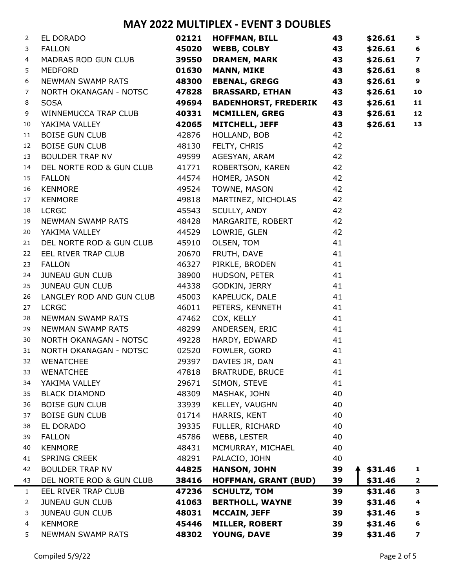| 2              | EL DORADO                | 02121 | <b>HOFFMAN, BILL</b>        | 43 | \$26.61 | 5                       |
|----------------|--------------------------|-------|-----------------------------|----|---------|-------------------------|
| 3              | <b>FALLON</b>            | 45020 | <b>WEBB, COLBY</b>          | 43 | \$26.61 | 6                       |
| 4              | MADRAS ROD GUN CLUB      | 39550 | <b>DRAMEN, MARK</b>         | 43 | \$26.61 | $\overline{\mathbf{z}}$ |
| 5              | <b>MEDFORD</b>           | 01630 | <b>MANN, MIKE</b>           | 43 | \$26.61 | 8                       |
| 6              | NEWMAN SWAMP RATS        | 48300 | <b>EBENAL, GREGG</b>        | 43 | \$26.61 | 9                       |
| 7              | NORTH OKANAGAN - NOTSC   | 47828 | <b>BRASSARD, ETHAN</b>      | 43 | \$26.61 | 10                      |
| 8              | <b>SOSA</b>              | 49694 | <b>BADENHORST, FREDERIK</b> | 43 | \$26.61 | 11                      |
| 9              | WINNEMUCCA TRAP CLUB     | 40331 | <b>MCMILLEN, GREG</b>       | 43 | \$26.61 | 12                      |
| 10             | YAKIMA VALLEY            | 42065 | <b>MITCHELL, JEFF</b>       | 43 | \$26.61 | 13                      |
| 11             | <b>BOISE GUN CLUB</b>    | 42876 | HOLLAND, BOB                | 42 |         |                         |
| 12             | <b>BOISE GUN CLUB</b>    | 48130 | FELTY, CHRIS                | 42 |         |                         |
| 13             | <b>BOULDER TRAP NV</b>   | 49599 | AGESYAN, ARAM               | 42 |         |                         |
| 14             | DEL NORTE ROD & GUN CLUB | 41771 | ROBERTSON, KAREN            | 42 |         |                         |
| 15             | <b>FALLON</b>            | 44574 | HOMER, JASON                | 42 |         |                         |
| 16             | <b>KENMORE</b>           | 49524 | TOWNE, MASON                | 42 |         |                         |
| 17             | <b>KENMORE</b>           | 49818 | MARTINEZ, NICHOLAS          | 42 |         |                         |
| 18             | <b>LCRGC</b>             | 45543 | SCULLY, ANDY                | 42 |         |                         |
| 19             | NEWMAN SWAMP RATS        | 48428 | MARGARITE, ROBERT           | 42 |         |                         |
| 20             | YAKIMA VALLEY            | 44529 | LOWRIE, GLEN                | 42 |         |                         |
| 21             | DEL NORTE ROD & GUN CLUB | 45910 | OLSEN, TOM                  | 41 |         |                         |
| 22             | EEL RIVER TRAP CLUB      | 20670 | FRUTH, DAVE                 | 41 |         |                         |
| 23             | <b>FALLON</b>            | 46327 | PIRKLE, BRODEN              | 41 |         |                         |
| 24             | <b>JUNEAU GUN CLUB</b>   | 38900 | HUDSON, PETER               | 41 |         |                         |
| 25             | <b>JUNEAU GUN CLUB</b>   | 44338 | GODKIN, JERRY               | 41 |         |                         |
| 26             | LANGLEY ROD AND GUN CLUB | 45003 | KAPELUCK, DALE              | 41 |         |                         |
| 27             | <b>LCRGC</b>             | 46011 | PETERS, KENNETH             | 41 |         |                         |
| 28             | NEWMAN SWAMP RATS        | 47462 | COX, KELLY                  | 41 |         |                         |
| 29             | NEWMAN SWAMP RATS        | 48299 | ANDERSEN, ERIC              | 41 |         |                         |
| 30             | NORTH OKANAGAN - NOTSC   | 49228 | HARDY, EDWARD               | 41 |         |                         |
| 31             | NORTH OKANAGAN - NOTSC   | 02520 | FOWLER, GORD                | 41 |         |                         |
| 32             | <b>WENATCHEE</b>         | 29397 | DAVIES JR, DAN              | 41 |         |                         |
| 33             | <b>WENATCHEE</b>         | 47818 | <b>BRATRUDE, BRUCE</b>      | 41 |         |                         |
| 34             | YAKIMA VALLEY            | 29671 | SIMON, STEVE                | 41 |         |                         |
| 35             | <b>BLACK DIAMOND</b>     | 48309 | MASHAK, JOHN                | 40 |         |                         |
| 36             | <b>BOISE GUN CLUB</b>    | 33939 | KELLEY, VAUGHN              | 40 |         |                         |
| 37             | <b>BOISE GUN CLUB</b>    | 01714 | HARRIS, KENT                | 40 |         |                         |
| 38             | EL DORADO                | 39335 | FULLER, RICHARD             | 40 |         |                         |
| 39             | <b>FALLON</b>            | 45786 | WEBB, LESTER                | 40 |         |                         |
| 40             | <b>KENMORE</b>           | 48431 | MCMURRAY, MICHAEL           | 40 |         |                         |
| 41             | <b>SPRING CREEK</b>      | 48291 | PALACIO, JOHN               | 40 |         |                         |
| 42             | <b>BOULDER TRAP NV</b>   | 44825 | <b>HANSON, JOHN</b>         | 39 | \$31.46 | 1                       |
| 43             | DEL NORTE ROD & GUN CLUB | 38416 | <b>HOFFMAN, GRANT (BUD)</b> | 39 | \$31.46 | $\overline{\mathbf{2}}$ |
| 1              | EEL RIVER TRAP CLUB      | 47236 | <b>SCHULTZ, TOM</b>         | 39 | \$31.46 | 3                       |
| $\overline{2}$ | <b>JUNEAU GUN CLUB</b>   | 41063 | <b>BERTHOLL, WAYNE</b>      | 39 | \$31.46 | 4                       |
| 3              | <b>JUNEAU GUN CLUB</b>   | 48031 | <b>MCCAIN, JEFF</b>         | 39 | \$31.46 | 5                       |
| 4              | <b>KENMORE</b>           | 45446 | <b>MILLER, ROBERT</b>       | 39 | \$31.46 | 6                       |
| 5              | <b>NEWMAN SWAMP RATS</b> | 48302 | YOUNG, DAVE                 | 39 | \$31.46 | 7                       |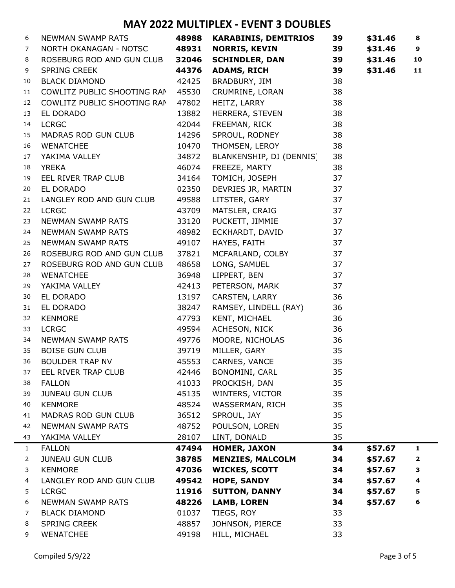| 6              | NEWMAN SWAMP RATS           |       | 48988 KARABINIS, DEMITRIOS | 39 | \$31.46 | 8  |
|----------------|-----------------------------|-------|----------------------------|----|---------|----|
| 7              | NORTH OKANAGAN - NOTSC      | 48931 | <b>NORRIS, KEVIN</b>       | 39 | \$31.46 | 9  |
| 8              | ROSEBURG ROD AND GUN CLUB   | 32046 | <b>SCHINDLER, DAN</b>      | 39 | \$31.46 | 10 |
| 9              | <b>SPRING CREEK</b>         | 44376 | <b>ADAMS, RICH</b>         | 39 | \$31.46 | 11 |
| 10             | <b>BLACK DIAMOND</b>        | 42425 | BRADBURY, JIM              | 38 |         |    |
| 11             | COWLITZ PUBLIC SHOOTING RAN | 45530 | CRUMRINE, LORAN            | 38 |         |    |
| 12             | COWLITZ PUBLIC SHOOTING RAN | 47802 | HEITZ, LARRY               | 38 |         |    |
| 13             | EL DORADO                   | 13882 | HERRERA, STEVEN            | 38 |         |    |
| 14             | <b>LCRGC</b>                | 42044 | FREEMAN, RICK              | 38 |         |    |
| 15             | MADRAS ROD GUN CLUB         | 14296 | SPROUL, RODNEY             | 38 |         |    |
| 16             | <b>WENATCHEE</b>            | 10470 | THOMSEN, LEROY             | 38 |         |    |
| 17             | YAKIMA VALLEY               | 34872 | BLANKENSHIP, DJ (DENNIS)   | 38 |         |    |
| 18             | <b>YREKA</b>                | 46074 | FREEZE, MARTY              | 38 |         |    |
| 19             | EEL RIVER TRAP CLUB         | 34164 | TOMICH, JOSEPH             | 37 |         |    |
| 20             | EL DORADO                   | 02350 | DEVRIES JR, MARTIN         | 37 |         |    |
| 21             | LANGLEY ROD AND GUN CLUB    | 49588 | LITSTER, GARY              | 37 |         |    |
| 22             | <b>LCRGC</b>                | 43709 | MATSLER, CRAIG             | 37 |         |    |
| 23             | NEWMAN SWAMP RATS           | 33120 | PUCKETT, JIMMIE            | 37 |         |    |
| 24             | NEWMAN SWAMP RATS           | 48982 | ECKHARDT, DAVID            | 37 |         |    |
| 25             | NEWMAN SWAMP RATS           | 49107 | HAYES, FAITH               | 37 |         |    |
| 26             | ROSEBURG ROD AND GUN CLUB   | 37821 | MCFARLAND, COLBY           | 37 |         |    |
| 27             | ROSEBURG ROD AND GUN CLUB   | 48658 | LONG, SAMUEL               | 37 |         |    |
| 28             | <b>WENATCHEE</b>            | 36948 | LIPPERT, BEN               | 37 |         |    |
| 29             | YAKIMA VALLEY               | 42413 | PETERSON, MARK             | 37 |         |    |
| 30             | EL DORADO                   | 13197 | CARSTEN, LARRY             | 36 |         |    |
| 31             | EL DORADO                   | 38247 | RAMSEY, LINDELL (RAY)      | 36 |         |    |
| 32             | <b>KENMORE</b>              | 47793 | KENT, MICHAEL              | 36 |         |    |
| 33             | <b>LCRGC</b>                | 49594 | ACHESON, NICK              | 36 |         |    |
| 34             | NEWMAN SWAMP RATS           | 49776 | MOORE, NICHOLAS            | 36 |         |    |
| 35             | <b>BOISE GUN CLUB</b>       | 39719 | MILLER, GARY               | 35 |         |    |
| 36             | BOULDER TRAP NV             | 45553 | CARNES, VANCE              | 35 |         |    |
| 37             | EEL RIVER TRAP CLUB         | 42446 | BONOMINI, CARL             | 35 |         |    |
| 38             | <b>FALLON</b>               | 41033 | PROCKISH, DAN              | 35 |         |    |
| 39             | <b>JUNEAU GUN CLUB</b>      | 45135 | WINTERS, VICTOR            | 35 |         |    |
| 40             | <b>KENMORE</b>              | 48524 | WASSERMAN, RICH            | 35 |         |    |
| 41             | MADRAS ROD GUN CLUB         | 36512 | SPROUL, JAY                | 35 |         |    |
| 42             | NEWMAN SWAMP RATS           | 48752 | POULSON, LOREN             | 35 |         |    |
| 43             | YAKIMA VALLEY               | 28107 | LINT, DONALD               | 35 |         |    |
| $\mathbf{1}$   | <b>FALLON</b>               | 47494 | <b>HOMER, JAXON</b>        | 34 | \$57.67 | 1  |
| $\overline{2}$ | JUNEAU GUN CLUB             | 38785 | <b>MENZIES, MALCOLM</b>    | 34 | \$57.67 | 2  |
| 3              | <b>KENMORE</b>              | 47036 | <b>WICKES, SCOTT</b>       | 34 | \$57.67 | з  |
| 4              | LANGLEY ROD AND GUN CLUB    | 49542 | <b>HOPE, SANDY</b>         | 34 | \$57.67 | 4  |
| 5              | <b>LCRGC</b>                | 11916 | <b>SUTTON, DANNY</b>       | 34 | \$57.67 | 5  |
| 6              | <b>NEWMAN SWAMP RATS</b>    | 48226 | <b>LAMB, LOREN</b>         | 34 | \$57.67 | 6  |
| 7              | <b>BLACK DIAMOND</b>        | 01037 | TIEGS, ROY                 | 33 |         |    |
| 8              | <b>SPRING CREEK</b>         | 48857 | JOHNSON, PIERCE            | 33 |         |    |
| 9              | <b>WENATCHEE</b>            | 49198 | HILL, MICHAEL              | 33 |         |    |